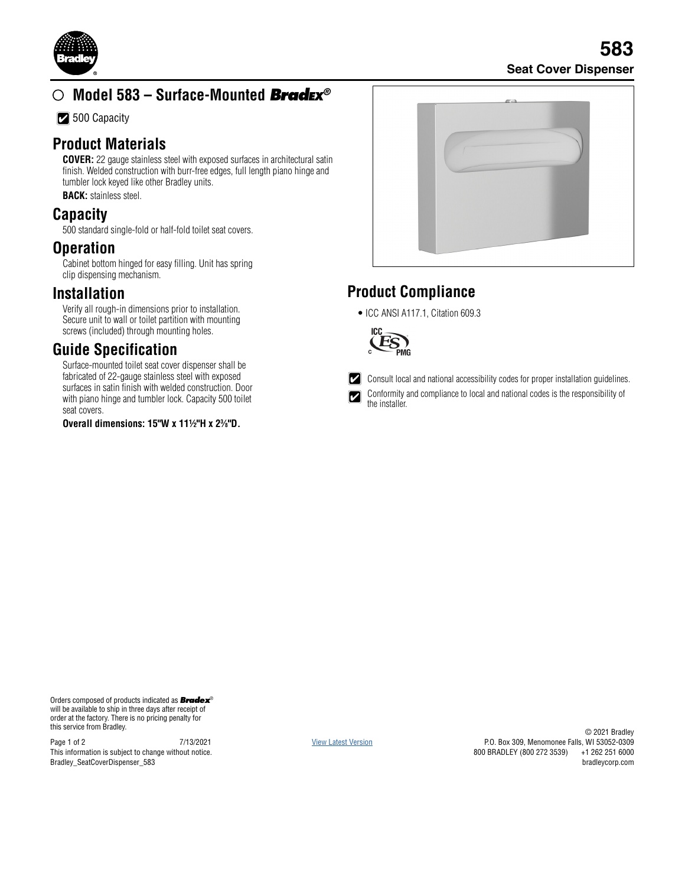

# **Model 583 – Surface-Mounted** *Bradex®*

**7** 500 Capacity

#### **Product Materials**

**COVER:** 22 gauge stainless steel with exposed surfaces in architectural satin finish. Welded construction with burr-free edges, full length piano hinge and tumbler lock keyed like other Bradley units. **BACK:** stainless steel.

#### **Capacity**

500 standard single-fold or half-fold toilet seat covers.

## **Operation**

Cabinet bottom hinged for easy filling. Unit has spring clip dispensing mechanism.

#### **Installation**

Verify all rough-in dimensions prior to installation. Secure unit to wall or toilet partition with mounting screws (included) through mounting holes.

## **Guide Specification**

Surface-mounted toilet seat cover dispenser shall be fabricated of 22-gauge stainless steel with exposed surfaces in satin finish with welded construction. Door with piano hinge and tumbler lock. Capacity 500 toilet seat covers.

**Overall dimensions: 15"W x 11½"H x 23 ⁄8"D.**

|  | $\pi \rightarrow$ |  |
|--|-------------------|--|
|  |                   |  |
|  |                   |  |
|  |                   |  |
|  |                   |  |

## **Product Compliance**

• ICC ANSI A117.1, Citation 609.3



Consult local and national accessibility codes for proper installation guidelines.

Conformity and compliance to local and national codes is the responsibility of the installer.

Orders composed of products indicated as *Bradex*® will be available to ship in three days after receipt of order at the factory. There is no pricing penalty for this service from Bradley.

Page 1 of 2 7/13/2021 This information is subject to change without notice. Bradley\_SeatCoverDispenser\_583

[View Latest Version](https://www.bradleycorp.com/mediamanager/view/8258/583_Surface_Mounted_Seat_Cover_Dispenser.pdf)

© 2021 Bradley P.O. Box 309, Menomonee Falls, WI 53052-0309 800 BRADLEY (800 272 3539) bradleycorp.com